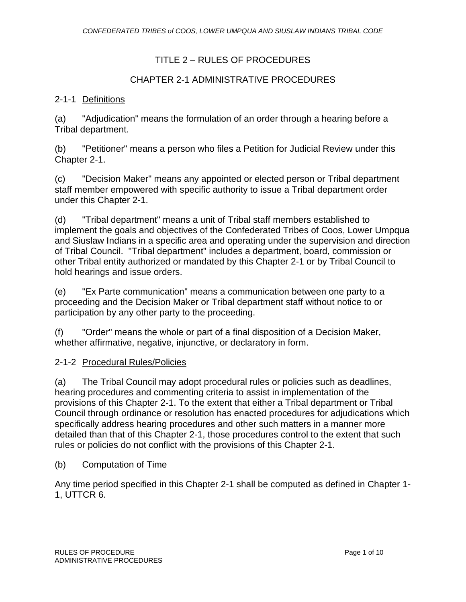# TITLE 2 – RULES OF PROCEDURES

# CHAPTER 2-1 ADMINISTRATIVE PROCEDURES

### 2-1-1 Definitions

(a) "Adjudication" means the formulation of an order through a hearing before a Tribal department.

(b) "Petitioner" means a person who files a Petition for Judicial Review under this Chapter 2-1.

(c) "Decision Maker" means any appointed or elected person or Tribal department staff member empowered with specific authority to issue a Tribal department order under this Chapter 2-1.

(d) "Tribal department" means a unit of Tribal staff members established to implement the goals and objectives of the Confederated Tribes of Coos, Lower Umpqua and Siuslaw Indians in a specific area and operating under the supervision and direction of Tribal Council. "Tribal department" includes a department, board, commission or other Tribal entity authorized or mandated by this Chapter 2-1 or by Tribal Council to hold hearings and issue orders.

(e) "Ex Parte communication" means a communication between one party to a proceeding and the Decision Maker or Tribal department staff without notice to or participation by any other party to the proceeding.

(f) "Order" means the whole or part of a final disposition of a Decision Maker, whether affirmative, negative, injunctive, or declaratory in form.

### 2-1-2 Procedural Rules/Policies

(a) The Tribal Council may adopt procedural rules or policies such as deadlines, hearing procedures and commenting criteria to assist in implementation of the provisions of this Chapter 2-1. To the extent that either a Tribal department or Tribal Council through ordinance or resolution has enacted procedures for adjudications which specifically address hearing procedures and other such matters in a manner more detailed than that of this Chapter 2-1, those procedures control to the extent that such rules or policies do not conflict with the provisions of this Chapter 2-1.

### (b) Computation of Time

Any time period specified in this Chapter 2-1 shall be computed as defined in Chapter 1- 1, UTTCR 6.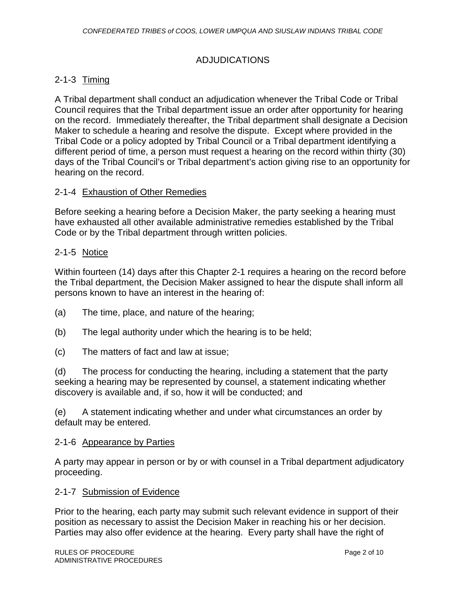## ADJUDICATIONS

## 2-1-3 Timing

A Tribal department shall conduct an adjudication whenever the Tribal Code or Tribal Council requires that the Tribal department issue an order after opportunity for hearing on the record. Immediately thereafter, the Tribal department shall designate a Decision Maker to schedule a hearing and resolve the dispute. Except where provided in the Tribal Code or a policy adopted by Tribal Council or a Tribal department identifying a different period of time, a person must request a hearing on the record within thirty (30) days of the Tribal Council's or Tribal department's action giving rise to an opportunity for hearing on the record.

#### 2-1-4 Exhaustion of Other Remedies

Before seeking a hearing before a Decision Maker, the party seeking a hearing must have exhausted all other available administrative remedies established by the Tribal Code or by the Tribal department through written policies.

#### 2-1-5 Notice

Within fourteen (14) days after this Chapter 2-1 requires a hearing on the record before the Tribal department, the Decision Maker assigned to hear the dispute shall inform all persons known to have an interest in the hearing of:

- (a) The time, place, and nature of the hearing;
- (b) The legal authority under which the hearing is to be held;
- (c) The matters of fact and law at issue;

(d) The process for conducting the hearing, including a statement that the party seeking a hearing may be represented by counsel, a statement indicating whether discovery is available and, if so, how it will be conducted; and

(e) A statement indicating whether and under what circumstances an order by default may be entered.

#### 2-1-6 Appearance by Parties

A party may appear in person or by or with counsel in a Tribal department adjudicatory proceeding.

#### 2-1-7 Submission of Evidence

Prior to the hearing, each party may submit such relevant evidence in support of their position as necessary to assist the Decision Maker in reaching his or her decision. Parties may also offer evidence at the hearing. Every party shall have the right of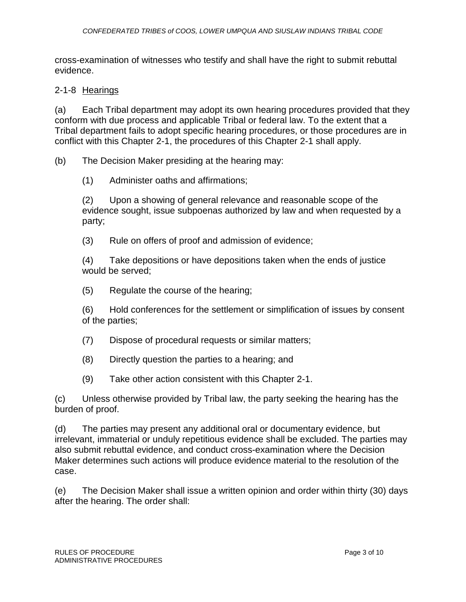cross-examination of witnesses who testify and shall have the right to submit rebuttal evidence.

### 2-1-8 Hearings

(a) Each Tribal department may adopt its own hearing procedures provided that they conform with due process and applicable Tribal or federal law. To the extent that a Tribal department fails to adopt specific hearing procedures, or those procedures are in conflict with this Chapter 2-1, the procedures of this Chapter 2-1 shall apply.

(b) The Decision Maker presiding at the hearing may:

(1) Administer oaths and affirmations;

(2) Upon a showing of general relevance and reasonable scope of the evidence sought, issue subpoenas authorized by law and when requested by a party;

(3) Rule on offers of proof and admission of evidence;

(4) Take depositions or have depositions taken when the ends of justice would be served;

(5) Regulate the course of the hearing;

(6) Hold conferences for the settlement or simplification of issues by consent of the parties;

- (7) Dispose of procedural requests or similar matters;
- (8) Directly question the parties to a hearing; and
- (9) Take other action consistent with this Chapter 2-1.

(c) Unless otherwise provided by Tribal law, the party seeking the hearing has the burden of proof.

(d) The parties may present any additional oral or documentary evidence, but irrelevant, immaterial or unduly repetitious evidence shall be excluded. The parties may also submit rebuttal evidence, and conduct cross-examination where the Decision Maker determines such actions will produce evidence material to the resolution of the case.

(e) The Decision Maker shall issue a written opinion and order within thirty (30) days after the hearing. The order shall: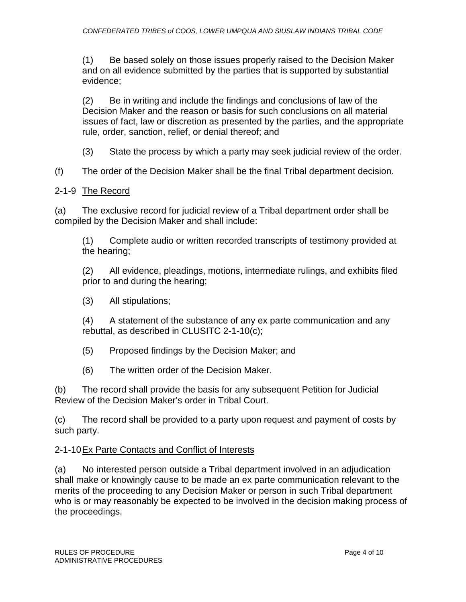(1) Be based solely on those issues properly raised to the Decision Maker and on all evidence submitted by the parties that is supported by substantial evidence;

(2) Be in writing and include the findings and conclusions of law of the Decision Maker and the reason or basis for such conclusions on all material issues of fact, law or discretion as presented by the parties, and the appropriate rule, order, sanction, relief, or denial thereof; and

(3) State the process by which a party may seek judicial review of the order.

(f) The order of the Decision Maker shall be the final Tribal department decision.

## 2-1-9 The Record

(a) The exclusive record for judicial review of a Tribal department order shall be compiled by the Decision Maker and shall include:

(1) Complete audio or written recorded transcripts of testimony provided at the hearing;

(2) All evidence, pleadings, motions, intermediate rulings, and exhibits filed prior to and during the hearing;

(3) All stipulations;

(4) A statement of the substance of any ex parte communication and any rebuttal, as described in CLUSITC 2-1-10(c);

(5) Proposed findings by the Decision Maker; and

(6) The written order of the Decision Maker.

(b) The record shall provide the basis for any subsequent Petition for Judicial Review of the Decision Maker's order in Tribal Court.

(c) The record shall be provided to a party upon request and payment of costs by such party.

### 2-1-10Ex Parte Contacts and Conflict of Interests

(a) No interested person outside a Tribal department involved in an adjudication shall make or knowingly cause to be made an ex parte communication relevant to the merits of the proceeding to any Decision Maker or person in such Tribal department who is or may reasonably be expected to be involved in the decision making process of the proceedings.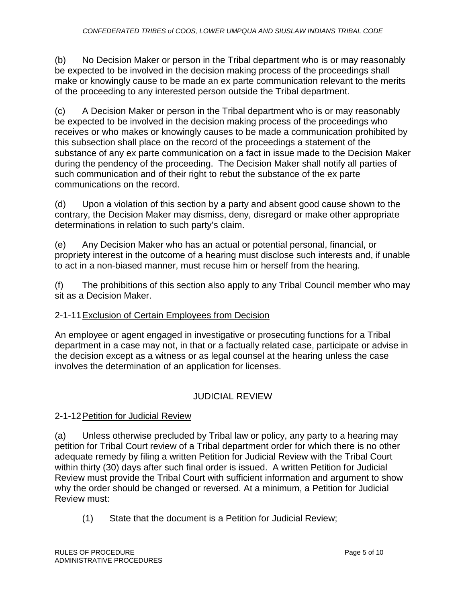(b) No Decision Maker or person in the Tribal department who is or may reasonably be expected to be involved in the decision making process of the proceedings shall make or knowingly cause to be made an ex parte communication relevant to the merits of the proceeding to any interested person outside the Tribal department.

(c) A Decision Maker or person in the Tribal department who is or may reasonably be expected to be involved in the decision making process of the proceedings who receives or who makes or knowingly causes to be made a communication prohibited by this subsection shall place on the record of the proceedings a statement of the substance of any ex parte communication on a fact in issue made to the Decision Maker during the pendency of the proceeding. The Decision Maker shall notify all parties of such communication and of their right to rebut the substance of the ex parte communications on the record.

(d) Upon a violation of this section by a party and absent good cause shown to the contrary, the Decision Maker may dismiss, deny, disregard or make other appropriate determinations in relation to such party's claim.

(e) Any Decision Maker who has an actual or potential personal, financial, or propriety interest in the outcome of a hearing must disclose such interests and, if unable to act in a non-biased manner, must recuse him or herself from the hearing.

(f) The prohibitions of this section also apply to any Tribal Council member who may sit as a Decision Maker.

# 2-1-11Exclusion of Certain Employees from Decision

An employee or agent engaged in investigative or prosecuting functions for a Tribal department in a case may not, in that or a factually related case, participate or advise in the decision except as a witness or as legal counsel at the hearing unless the case involves the determination of an application for licenses.

# JUDICIAL REVIEW

# 2-1-12Petition for Judicial Review

(a) Unless otherwise precluded by Tribal law or policy, any party to a hearing may petition for Tribal Court review of a Tribal department order for which there is no other adequate remedy by filing a written Petition for Judicial Review with the Tribal Court within thirty (30) days after such final order is issued. A written Petition for Judicial Review must provide the Tribal Court with sufficient information and argument to show why the order should be changed or reversed. At a minimum, a Petition for Judicial Review must:

(1) State that the document is a Petition for Judicial Review;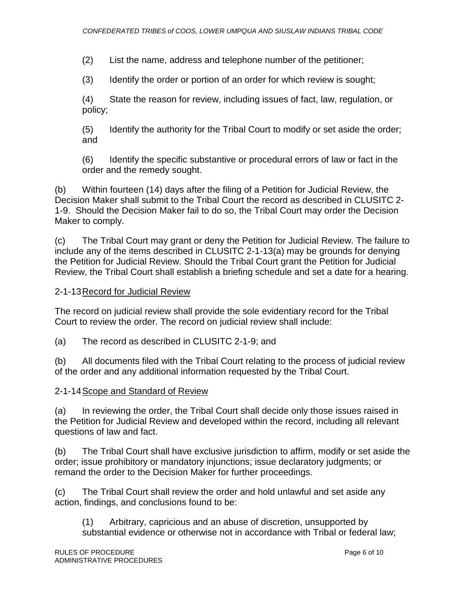(2) List the name, address and telephone number of the petitioner;

(3) Identify the order or portion of an order for which review is sought;

(4) State the reason for review, including issues of fact, law, regulation, or policy;

(5) Identify the authority for the Tribal Court to modify or set aside the order; and

(6) Identify the specific substantive or procedural errors of law or fact in the order and the remedy sought.

(b) Within fourteen (14) days after the filing of a Petition for Judicial Review, the Decision Maker shall submit to the Tribal Court the record as described in CLUSITC 2- 1-9. Should the Decision Maker fail to do so, the Tribal Court may order the Decision Maker to comply.

(c) The Tribal Court may grant or deny the Petition for Judicial Review. The failure to include any of the items described in CLUSITC 2-1-13(a) may be grounds for denying the Petition for Judicial Review. Should the Tribal Court grant the Petition for Judicial Review, the Tribal Court shall establish a briefing schedule and set a date for a hearing.

# 2-1-13Record for Judicial Review

The record on judicial review shall provide the sole evidentiary record for the Tribal Court to review the order. The record on judicial review shall include:

(a) The record as described in CLUSITC 2-1-9; and

(b) All documents filed with the Tribal Court relating to the process of judicial review of the order and any additional information requested by the Tribal Court.

# 2-1-14Scope and Standard of Review

(a) In reviewing the order, the Tribal Court shall decide only those issues raised in the Petition for Judicial Review and developed within the record, including all relevant questions of law and fact.

(b) The Tribal Court shall have exclusive jurisdiction to affirm, modify or set aside the order; issue prohibitory or mandatory injunctions; issue declaratory judgments; or remand the order to the Decision Maker for further proceedings.

(c) The Tribal Court shall review the order and hold unlawful and set aside any action, findings, and conclusions found to be:

(1) Arbitrary, capricious and an abuse of discretion, unsupported by substantial evidence or otherwise not in accordance with Tribal or federal law;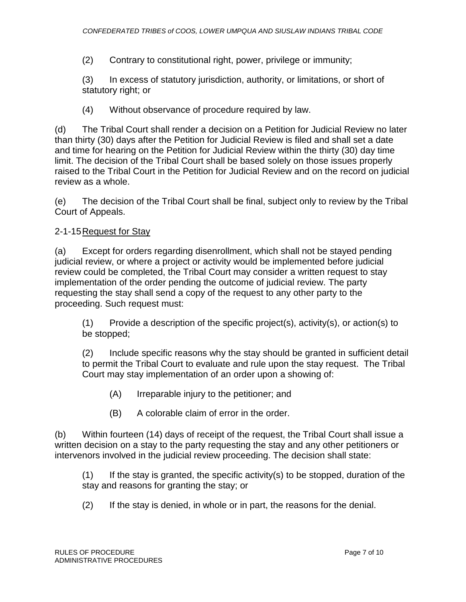(2) Contrary to constitutional right, power, privilege or immunity;

(3) In excess of statutory jurisdiction, authority, or limitations, or short of statutory right; or

(4) Without observance of procedure required by law.

(d) The Tribal Court shall render a decision on a Petition for Judicial Review no later than thirty (30) days after the Petition for Judicial Review is filed and shall set a date and time for hearing on the Petition for Judicial Review within the thirty (30) day time limit. The decision of the Tribal Court shall be based solely on those issues properly raised to the Tribal Court in the Petition for Judicial Review and on the record on judicial review as a whole.

(e) The decision of the Tribal Court shall be final, subject only to review by the Tribal Court of Appeals.

# 2-1-15Request for Stay

(a) Except for orders regarding disenrollment, which shall not be stayed pending judicial review, or where a project or activity would be implemented before judicial review could be completed, the Tribal Court may consider a written request to stay implementation of the order pending the outcome of judicial review. The party requesting the stay shall send a copy of the request to any other party to the proceeding. Such request must:

 $(1)$  Provide a description of the specific project(s), activity(s), or action(s) to be stopped;

(2) Include specific reasons why the stay should be granted in sufficient detail to permit the Tribal Court to evaluate and rule upon the stay request. The Tribal Court may stay implementation of an order upon a showing of:

- (A) Irreparable injury to the petitioner; and
- (B) A colorable claim of error in the order.

(b) Within fourteen (14) days of receipt of the request, the Tribal Court shall issue a written decision on a stay to the party requesting the stay and any other petitioners or intervenors involved in the judicial review proceeding. The decision shall state:

 $(1)$  If the stay is granted, the specific activity(s) to be stopped, duration of the stay and reasons for granting the stay; or

(2) If the stay is denied, in whole or in part, the reasons for the denial.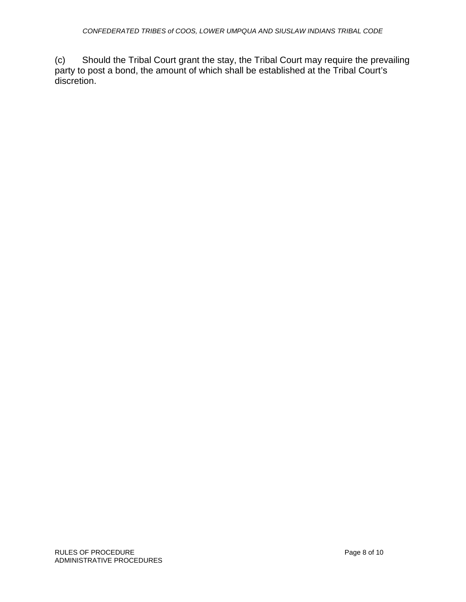(c) Should the Tribal Court grant the stay, the Tribal Court may require the prevailing party to post a bond, the amount of which shall be established at the Tribal Court's discretion.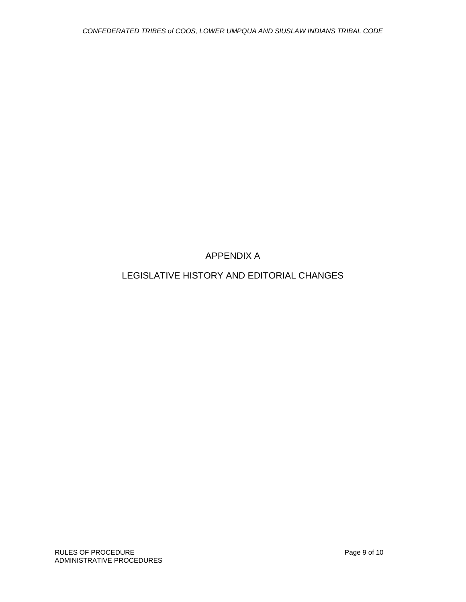APPENDIX A

# LEGISLATIVE HISTORY AND EDITORIAL CHANGES